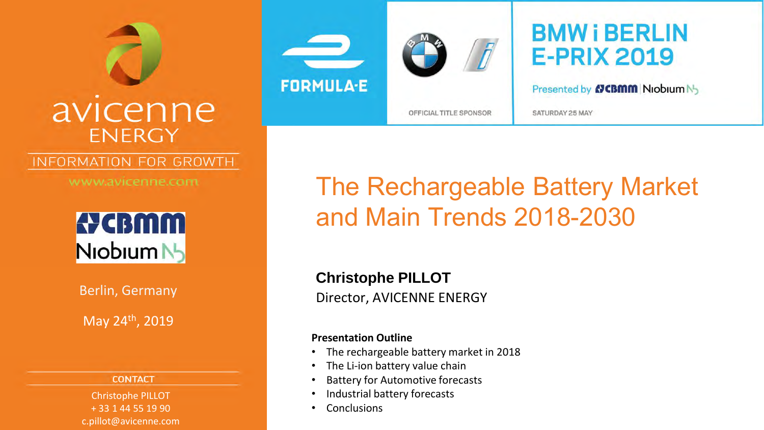

### INFORMATION FOR GROWTH

www.avicenne.com



Berlin, Germany

May 24th, 2019

#### **CONTACT**

Christophe PILLOT + 33 1 44 55 19 90 c.pillot@avicenne.com





### **BMW i BERLIN E-PRIX 2019**

Presented by **NGBMM** Niobium N<sub>2</sub>

SATURDAY 25 MAY

## The Rechargeable Battery Market and Main Trends 2018-2030

Director, AVICENNE ENERGY **Christophe PILLOT**

#### **Presentation Outline**

- The rechargeable battery market in 2018
- The Li-ion battery value chain
- Battery for Automotive forecasts
- Industrial battery forecasts
- **Conclusions**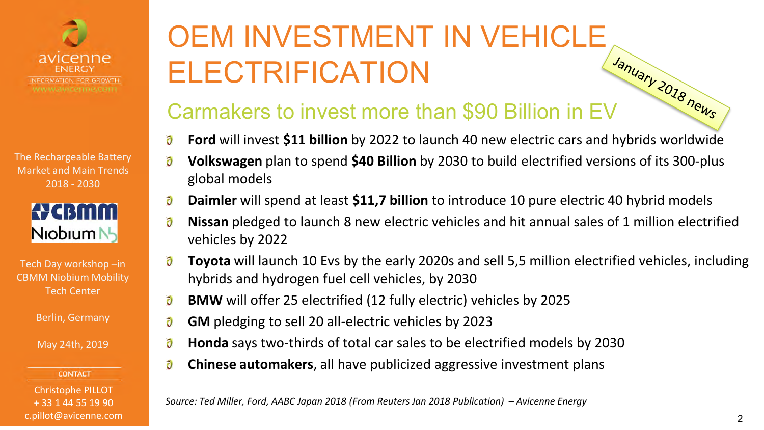



| Tech Day workshop -in        |
|------------------------------|
| <b>CBMM Niobium Mobility</b> |
| Tech Center                  |

Berlin, Germany

May 24th, 2019

**CONTACT** 

Christophe PILLOT + 33 1 44 55 19 90 c.pillot@avicenne.com

# OEM INVESTMENT IN VEHICLE **ELECTRIFICATION**

### Carmakers to invest more than \$90 Billion in EV

- ð **Ford** will invest **\$11 billion** by 2022 to launch 40 new electric cars and hybrids worldwide
- ð **Volkswagen** plan to spend **\$40 Billion** by 2030 to build electrified versions of its 300-plus global models
- ð **Daimler** will spend at least **\$11,7 billion** to introduce 10 pure electric 40 hybrid models
- $\tilde{\boldsymbol{\sigma}}$ **Nissan** pledged to launch 8 new electric vehicles and hit annual sales of 1 million electrified vehicles by 2022
- ð **Toyota** will launch 10 Evs by the early 2020s and sell 5,5 million electrified vehicles, including hybrids and hydrogen fuel cell vehicles, by 2030
- ð **BMW** will offer 25 electrified (12 fully electric) vehicles by 2025
- $\partial$ **GM** pledging to sell 20 all-electric vehicles by 2023
- ð **Honda** says two-thirds of total car sales to be electrified models by 2030
- ð **Chinese automakers**, all have publicized aggressive investment plans

*Source: Ted Miller, Ford, AABC Japan 2018 (From Reuters Jan 2018 Publication) – Avicenne Energy*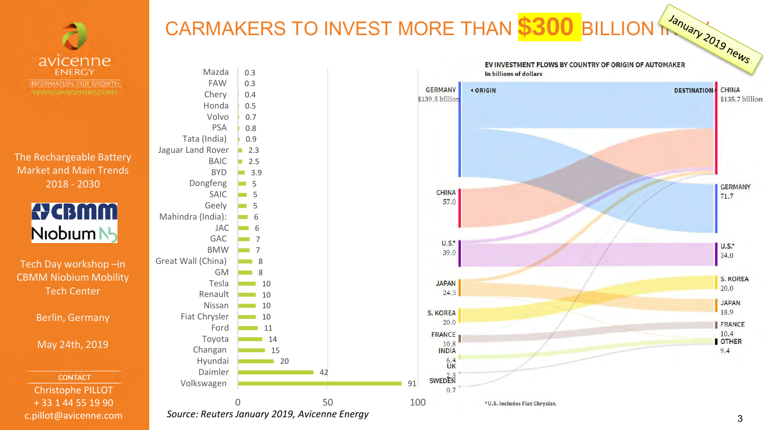

CARMAKERS TO INVEST MORE THAN **\$300** BILLION The BOST SOLUTION TO BOOK THE BOST OF CONSTRUCT AND THE PARTY OF PARTY OF PARTY OF PARTY OF PARTY OF PARTY OF PARTY OF PARTY OF PARTY OF PARTY OF PARTY OF PARTY OF PARTY OF PART

The Rechargeable Battery Market and Main Trends 2018 - 2030



Tech Day workshop –in CBMM Niobium Mobility Tech Center

Berlin, Germany

May 24th, 2019

**CONTACT** Christophe PILLOT + 33 1 44 55 19 90 c.pillot@avicenne.com



*Source: Reuters January 2019, Avicenne Energy*

CHINA

\$135.7 billion

**GERMANY** 

 $71.7$ 

U.S.\*

34.0

 $20.0$ 

JAPAN 18.9

FRANCE  $10.4$ 

OTHER

 $9.4$ 

S. KOREA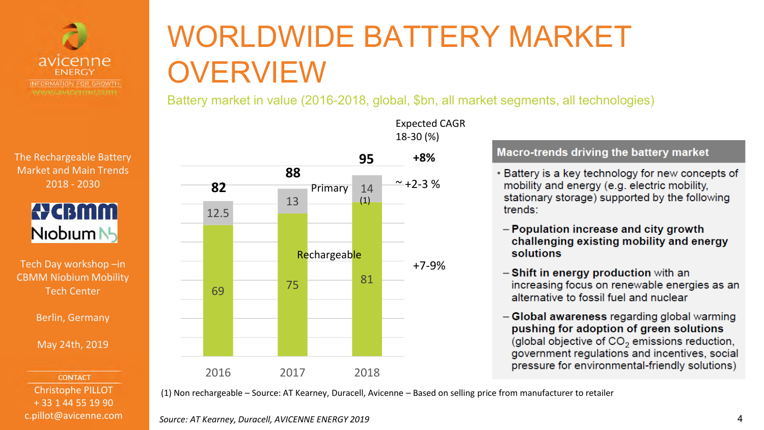



Tech Day workshop –in CBMM Niobium Mobility Tech Center

Berlin, Germany

May 24th, 2019

**CONTACT** Christophe PILLOT + 33 1 44 55 19 90 c.pillot@avicenne.com

# WORLDWIDE BATTERY MARKET **OVERVIEW**

Battery market in value (2016-2018, global, \$bn, all market segments, all technologies)



Expected CAGR 18-30 (%)

### Macro-trends driving the battery market

- Battery is a key technology for new concepts of mobility and energy (e.g. electric mobility, stationary storage) supported by the following trends:
- Population increase and city growth challenging existing mobility and energy solutions
- Shift in energy production with an increasing focus on renewable energies as an alternative to fossil fuel and nuclear
- Global awareness regarding global warming pushing for adoption of green solutions (global objective of CO<sub>2</sub> emissions reduction, government regulations and incentives, social pressure for environmental-friendly solutions)

(1) Non rechargeable – Source: AT Kearney, Duracell, Avicenne – Based on selling price from manufacturer to retailer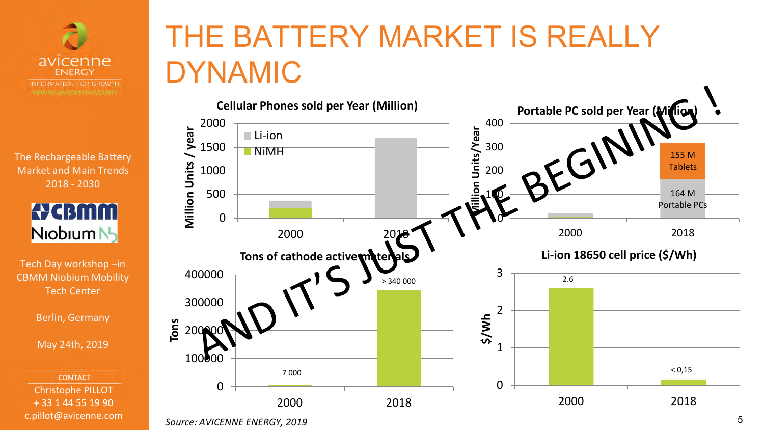



Tech Day workshop –in CBMM Niobium Mobility Tech Center

Berlin, Germany

May 24th, 2019

**CONTACT** Christophe PILLOT + 33 1 44 55 19 90 c.pillot@avicenne.com

# THE BATTERY MARKET IS REALLY DYNAMIC



**Source: AVICENNE ENERGY, 2019** 5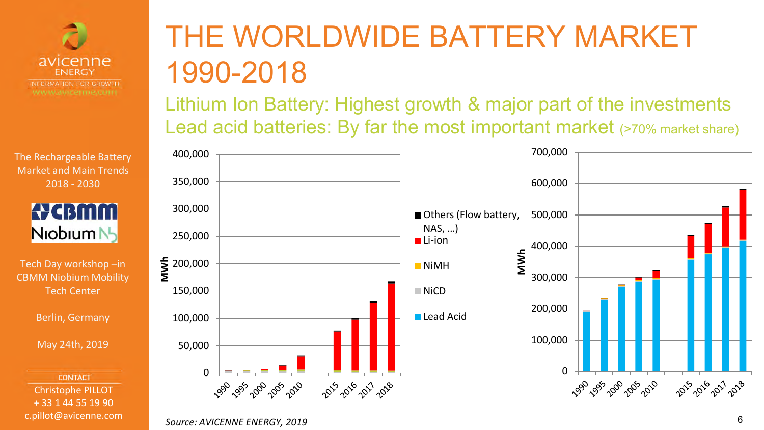



Tech Day workshop –in CBMM Niobium Mobility Tech Center

Berlin, Germany

May 24th, 2019

**CONTACT** Christophe PILLOT + 33 1 44 55 19 90 c.pillot@avicenne.com

# THE WORLDWIDE BATTERY MARKET 1990-2018

Lithium Ion Battery: Highest growth & major part of the investments Lead acid batteries: By far the most important market (>70% market share)



#### *Source: AVICENNE ENERGY, 2019* 6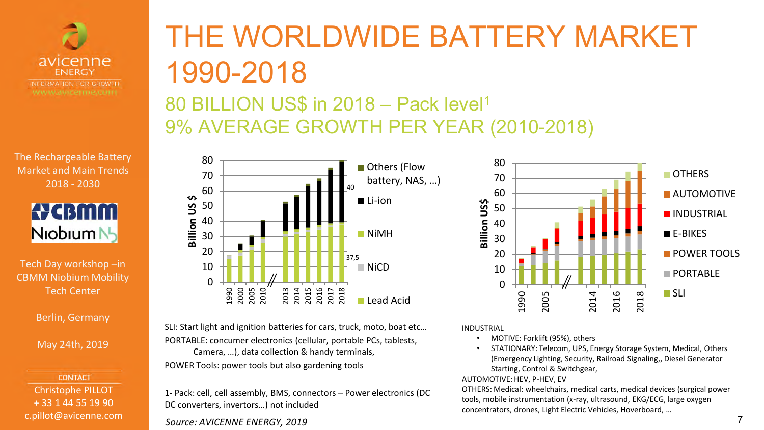



Tech Day workshop –in CBMM Niobium Mobility Tech Center

Berlin, Germany

May 24th, 2019

**CONTACT** Christophe PILLOT + 33 1 44 55 19 90 c.pillot@avicenne.com

### THE WORLDWIDE BATTERY MARKET 1990-2018 80 BILLION US\$ in 2018 – Pack level<sup>1</sup> 9% AVERAGE GROWTH PER YEAR (2010-2018)



SLI: Start light and ignition batteries for cars, truck, moto, boat etc… PORTABLE: concumer electronics (cellular, portable PCs, tablests, Camera, …), data collection & handy terminals, POWER Tools: power tools but also gardening tools

1- Pack: cell, cell assembly, BMS, connectors – Power electronics (DC DC converters, invertors…) not included

*Source: AVICENNE ENERGY, 2019* 7

 $\Omega$ 10 20 30 40 50 60 70 80 1990 2005 2014 2016 2018 **Billion US\$ OTHERS AUTOMOTIVE INDUSTRIAL**  $E-F-RIKFS$ **POWER TOOLS PORTABLE SLI** 

INDUSTRIAL

- MOTIVE: Forklift (95%), others
- STATIONARY: Telecom, UPS, Energy Storage System, Medical, Others (Emergency Lighting, Security, Railroad Signaling,, Diesel Generator Starting, Control & Switchgear,

#### AUTOMOTIVE: HEV, P-HEV, EV

OTHERS: Medical: wheelchairs, medical carts, medical devices (surgical power tools, mobile instrumentation (x-ray, ultrasound, EKG/ECG, large oxygen concentrators, drones, Light Electric Vehicles, Hoverboard, …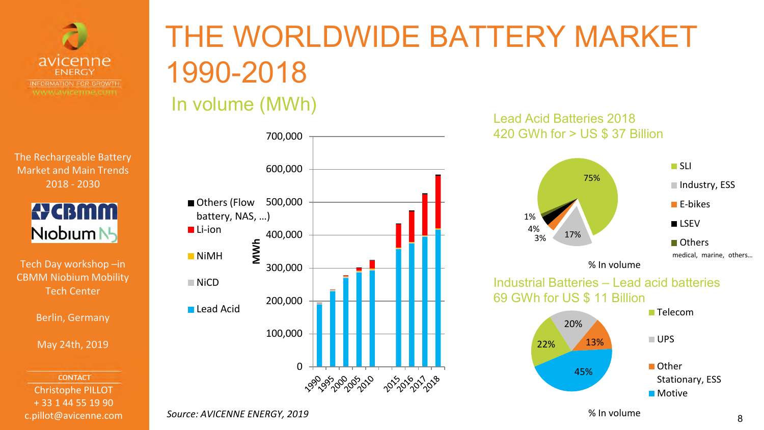

> **A** CBMM Niobium N<sub>2</sub>

Tech Day workshop –in CBMM Niobium Mobility Tech Center

Berlin, Germany

May 24th, 2019

**CONTACT** Christophe PILLOT + 33 1 44 55 19 90 c.pillot@avicenne.com

# THE WORLDWIDE BATTERY MARKET 1990-2018

### In volume (MWh)



### Lead Acid Batteries 2018 420 GWh for > US \$ 37 Billion



Stationary, ESS **Motive** 

*Source: AVICENNE ENERGY, 2019*

% In volume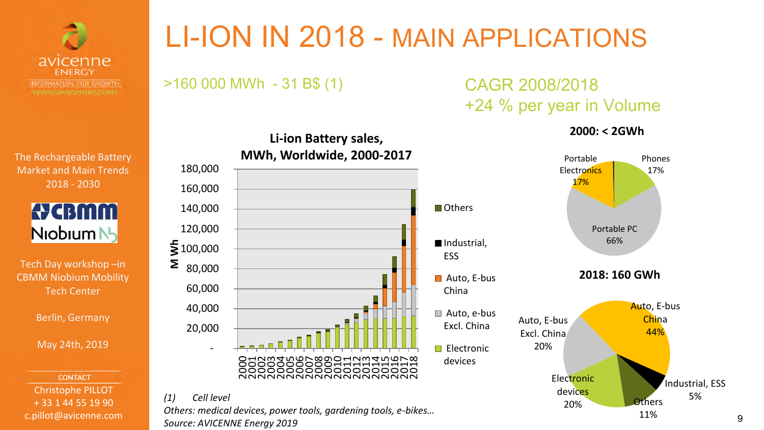

LI-ION IN 2018 - MAIN APPLICATIONS

ESS

China

devices

>160 000 MWh - 31 B\$ (1) CAGR 2008/2018

# +24 % per year in Volume

**2000: < 2GWh**



9

The Rechargeable Battery Market and Main Trends 2018 - 2030



Tech Day workshop –in CBMM Niobium Mobility Tech Center

Berlin, Germany

May 24th, 2019

**CONTACT** Christophe PILLOT + 33 1 44 55 19 90 c.pillot@avicenne.com



**Li-ion Battery sales,**

### *(1) Cell level*

*Others: medical devices, power tools, gardening tools, e-bikes… Source: AVICENNE Energy 2019*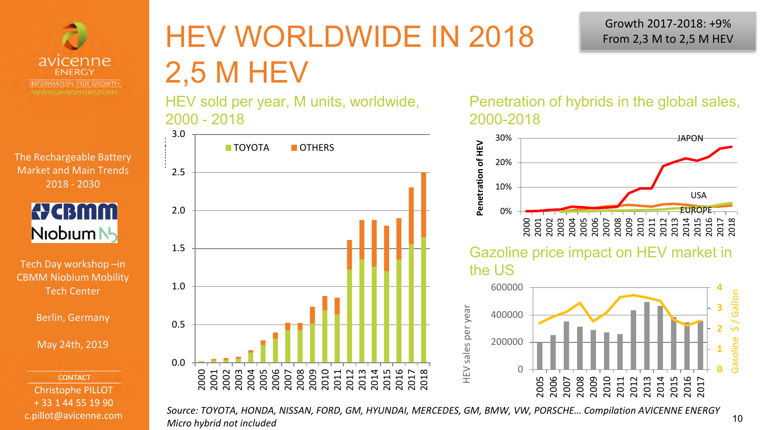



Tech Day workshop –in CBMM Niobium Mobility Tech Center

Berlin, Germany

May 24th, 2019

**CONTACT** Christophe PILLOT + 33 1 44 55 19 90 c.pillot@avicenne.com

# HEV WORLDWIDE IN 2018 2,5 M HEV

HEV sold per year, M units, worldwide, 2000 - 2018



Growth 2017-2018: +9% From 2,3 M to 2,5 M HEV

Penetration of hybrids in the global sales, 2000-2018



*Source: TOYOTA, HONDA, NISSAN, FORD, GM, HYUNDAI, MERCEDES, GM, BMW, VW, PORSCHE… Compilation AVICENNE ENERGY Micro hybrid not included*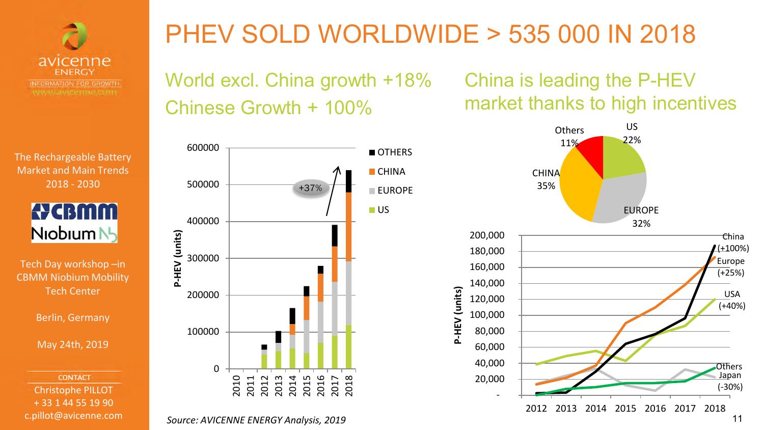



Tech Day workshop –in CBMM Niobium Mobility Tech Center

Berlin, Germany

May 24th, 2019

**CONTACT** Christophe PILLOT + 33 1 44 55 19 90 c.pillot@avicenne.com

## PHEV SOLD WORLDWIDE > 535 000 IN 2018

**P-HEV (units)**

P-HEV (units)

World excl. China growth +18% Chinese Growth + 100%



**Source: AVICENNE ENERGY Analysis, 2019** 11

China is leading the P-HEV market thanks to high incentives

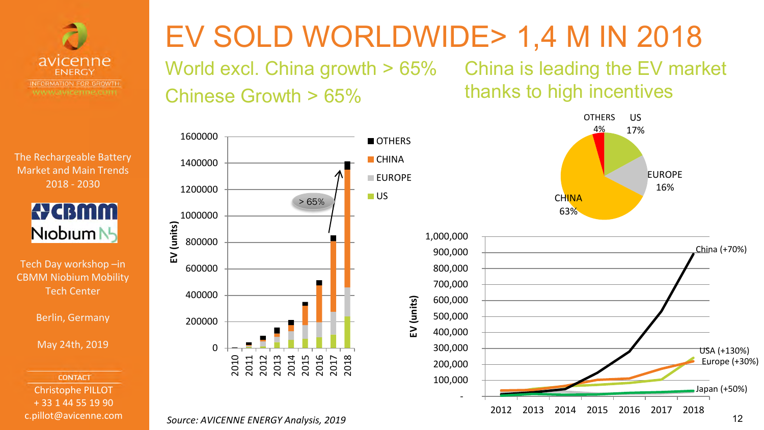



Tech Day workshop –in CBMM Niobium Mobility Tech Center

Berlin, Germany

May 24th, 2019

**CONTACT** Christophe PILLOT + 33 1 44 55 19 90 c.pillot@avicenne.com

# EV SOLD WORLDWIDE> 1,4 M IN 2018

OTHERS **CHINA EUROPF** 

**EV (units)**

US

World excl. China growth > 65% China is leading the EV market Chinese Growth > 65%

> 65%

thanks to high incentives



2013 2014 2015

2016 2017 2018

2010 2011 2012

200000

400000

600000

800000

**EV (units)**

1000000

1200000

1400000

1600000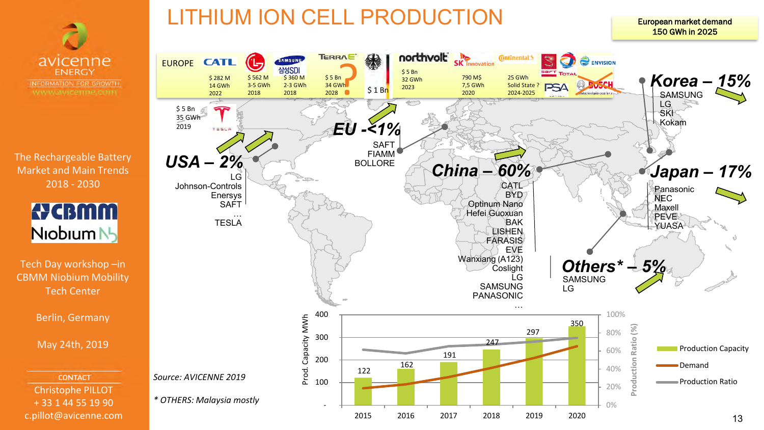



Tech Day workshop –in CBMM Niobium Mobility Tech Center

Berlin, Germany

May 24th, 2019

### **CONTACT** Christophe PILLOT + 33 1 44 55 19 90 c.pillot@avicenne.com

LITHIUM ION CELL PRODUCTION



European market demand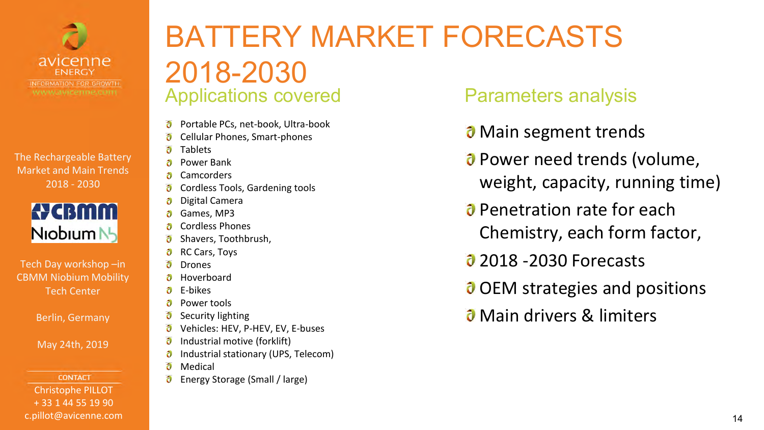



Tech Day workshop –in CBMM Niobium Mobility Tech Center

Berlin, Germany

May 24th, 2019

**CONTACT** Christophe PILLOT + 33 1 44 55 19 90 c.pillot@avicenne.com

### BATTERY MARKET FORECASTS 2018-2030 Applications covered **Parameters analysis**

- Portable PCs, net-book, Ultra-book ð
- Cellular Phones, Smart-phones
- ð Tablets
- Power Bank
- ð Camcorders
- Cordless Tools, Gardening tools ð
- ð Digital Camera
- Games, MP3
- Cordless Phones
- Shavers, Toothbrush, ð
- RC Cars, Toys ð
- a Drones
- Hoverboard
- a. E-bikes
- Power tools ð
- Security lighting ð
- ð Vehicles: HEV, P-HEV, EV, E-buses
- Industrial motive (forklift)
- Industrial stationary (UPS, Telecom) ð
- ð Medical
- Energy Storage (Small / large)

- *O* Main segment trends
- *O* Power need trends (volume, weight, capacity, running time)
- **Penetration rate for each** Chemistry, each form factor,
- **2018 -2030 Forecasts**
- **O** OEM strategies and positions
- **J** Main drivers & limiters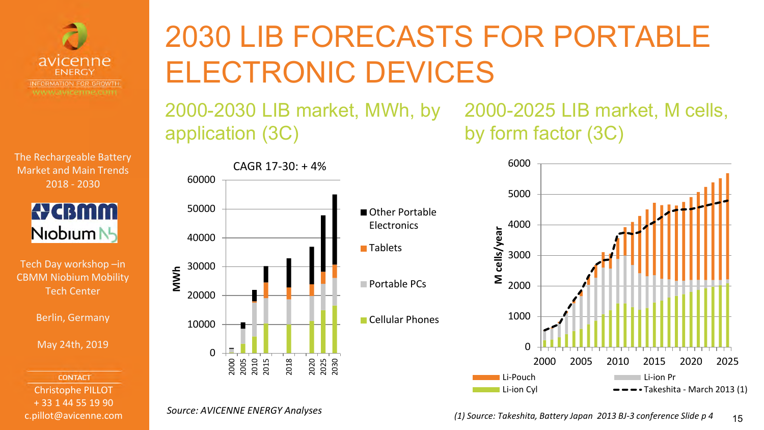



Tech Day workshop –in CBMM Niobium Mobility Tech Center

Berlin, Germany

May 24th, 2019

**CONTACT** Christophe PILLOT + 33 1 44 55 19 90 c.pillot@avicenne.com

# 2030 LIB FORECASTS FOR PORTABLE ELECTRONIC DEVICES

2000-2030 LIB market, MWh, by application (3C)

2000-2025 LIB market, M cells, by form factor (3C)



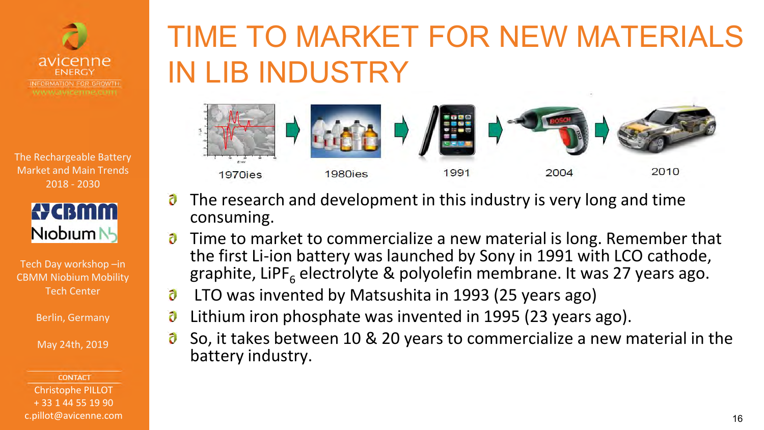



Tech Day workshop –in CBMM Niobium Mobility Tech Center

Berlin, Germany

May 24th, 2019

**CONTACT** Christophe PILLOT + 33 1 44 55 19 90 c.pillot@avicenne.com

# TIME TO MARKET FOR NEW MATERIALS IN LIB INDUSTRY



- ð The research and development in this industry is very long and time consuming.
- ð Time to market to commercialize a new material is long. Remember that the first Li-ion battery was launched by Sony in 1991 with LCO cathode, graphite, LiPF<sub>6</sub> electrolyte & polyolefin membrane. It was 27 years ago.
- ð LTO was invented by Matsushita in 1993 (25 years ago)
- Lithium iron phosphate was invented in 1995 (23 years ago). O
- So, it takes between 10 & 20 years to commercialize a new material in the ð battery industry.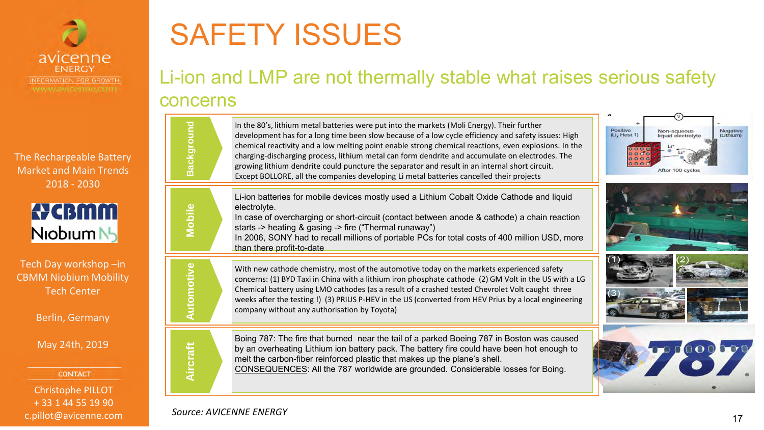



Tech Day workshop –in CBMM Niobium Mobility Tech Center

Berlin, Germany

May 24th, 2019

**CONTACT** 

Christophe PILLOT + 33 1 44 55 19 90 c.pillot@avicenne.com

# SAFETY ISSUES

### Li-ion and LMP are not thermally stable what raises serious safety concerns

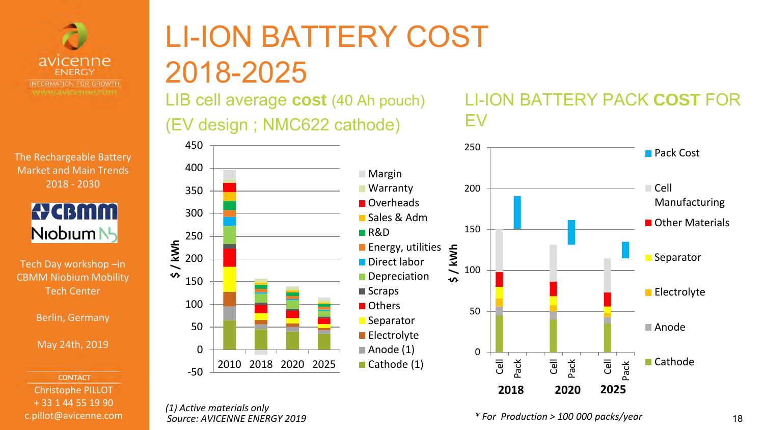



Tech Day workshop –in CBMM Niobium Mobility Tech Center

Berlin, Germany

May 24th, 2019

**CONTACT** Christophe PILLOT + 33 1 44 55 19 90 c.pillot@avicenne.com

# LI-ION BATTERY COST 2018-2025

LIB cell average **cost** (40 Ah pouch) (EV design ; NMC622 cathode)



#### *(1) Active materials only Source: AVICENNE ENERGY 2019*

450



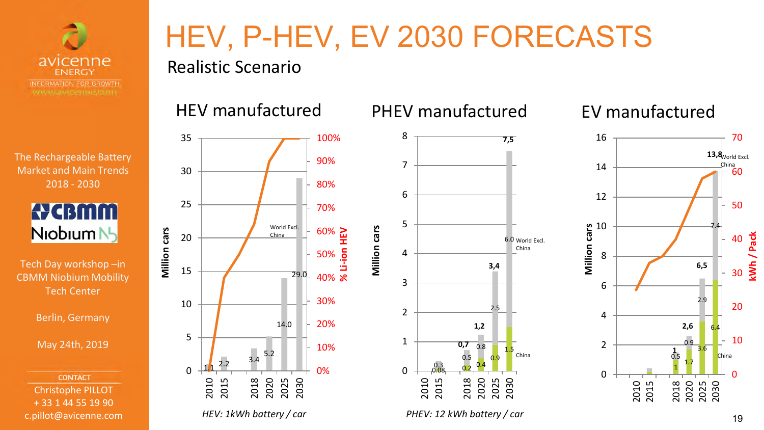



Tech Day workshop –in CBMM Niobium Mobility Tech Center

Berlin, Germany

May 24th, 2019

**CONTACT** Christophe PILLOT + 33 1 44 55 19 90 c.pillot@avicenne.com

# HEV, P-HEV, EV 2030 FORECASTS

Realistic Scenario



### HEV manufactured PHEV manufactured



EV manufactured



### <sup>19</sup> *HEV: 1kWh battery / car PHEV: 12 kWh battery / car*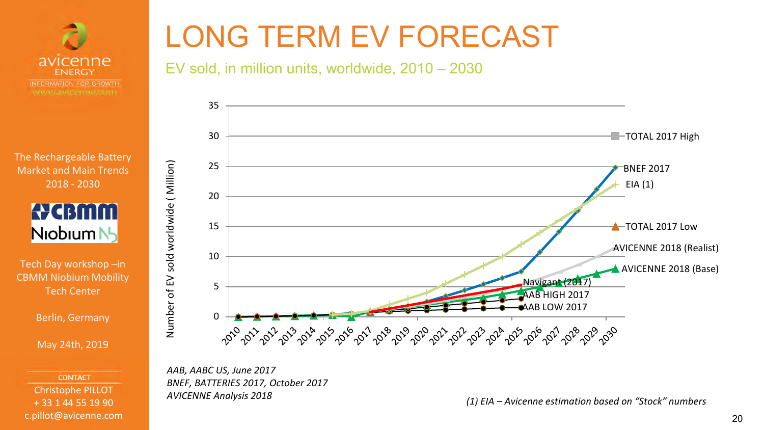



Tech Day workshop –in CBMM Niobium Mobility Tech Center

Berlin, Germany

May 24th, 2019

**CONTACT** Christophe PILLOT + 33 1 44 55 19 90 c.pillot@avicenne.com

# LONG TERM EV FORECAST

### EV sold, in million units, worldwide, 2010 – 2030



*AAB, AABC US, June 2017 BNEF, BATTERIES 2017, October 2017 AVICENNE Analysis 2018*

*(1) EIA – Avicenne estimation based on "Stock" numbers*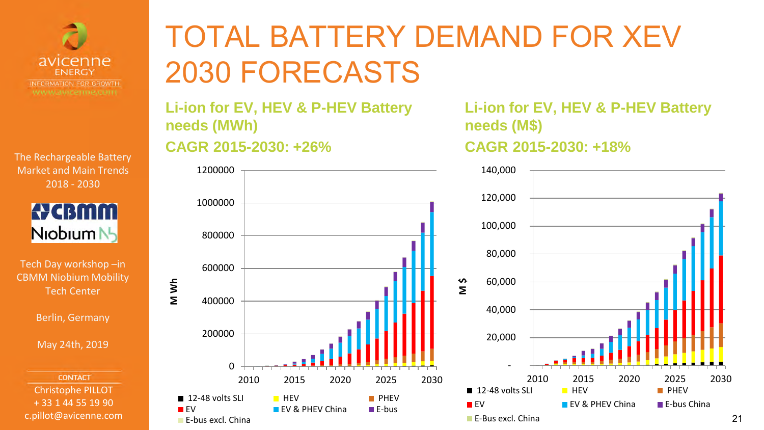



Tech Day workshop –in CBMM Niobium Mobility Tech Center

Berlin, Germany

May 24th, 2019

**CONTACT** Christophe PILLOT + 33 1 44 55 19 90 c.pillot@avicenne.com

# TOTAL BATTERY DEMAND FOR XEV 2030 FORECASTS

**Li-ion for EV, HEV & P-HEV Battery needs (MWh)**

**CAGR 2015-2030: +26%** 



**Li-ion for EV, HEV & P-HEV Battery needs (M\$) CAGR 2015-2030: +18%** 

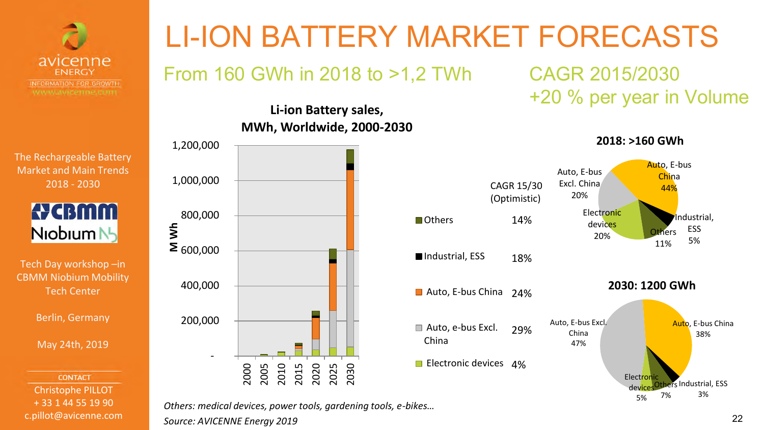



Tech Day workshop –in CBMM Niobium Mobility Tech Center

Berlin, Germany

May 24th, 2019

**CONTACT** Christophe PILLOT + 33 1 44 55 19 90 c.pillot@avicenne.com

# LI-ION BATTERY MARKET FORECASTS

From 160 GWh in 2018 to >1,2 TWh CAGR 2015/2030

### **Li-ion Battery sales, MWh, Worldwide, 2000-2030**



# +20 % per year in Volume

Electron devi 5%

**2018: >160 GWh 2030: 1200 GWh**  Auto, E-bus Excl. China 47% Auto, E-bus China 38% CAGR 15/30 (Optimistic) **n**Others Industrial, ESS Auto, E-bus China 24% Auto, e-bus Excl. China Electronic devices 4% 14% 18% 29% Electronic devices 20% Auto, E-bus Excl. China 20% Auto, E-bus **China** 44% Industrial, ESS 5% **ors** 11%

*Others: medical devices, power tools, gardening tools, e-bikes… Source: AVICENNE Energy 2019*

Others Industrial, ESS 3%

7%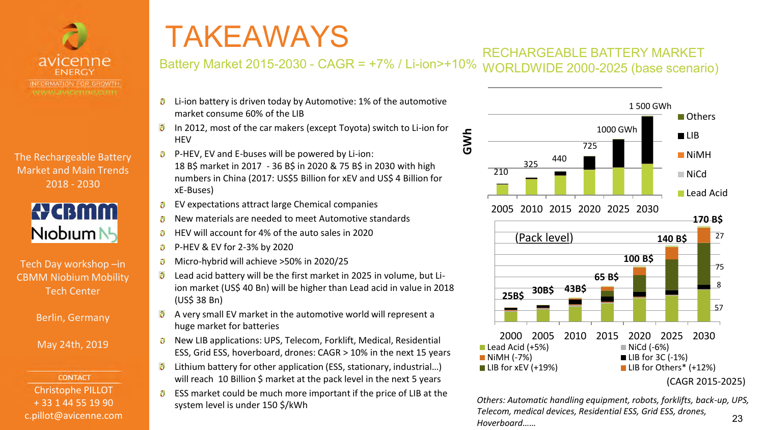



Tech Day workshop –in CBMM Niobium Mobility Tech Center

Berlin, Germany

May 24th, 2019

**CONTACT** Christophe PILLOT + 33 1 44 55 19 90 c.pillot@avicenne.com

# TAKEAWAYS

#### RECHARGEABLE BATTERY MARKET WORLDWIDE 2000-2025 (base scenario) Battery Market 2015-2030 - CAGR = +7% / Li-ion>+10%

- Li-ion battery is driven today by Automotive: 1% of the automotive ð market consume 60% of the LIB
- ð In 2012, most of the car makers (except Toyota) switch to Li-ion for **HFV**
- P-HEV, EV and E-buses will be powered by Li-ion: 18 B\$ market in 2017 - 36 B\$ in 2020 & 75 B\$ in 2030 with high numbers in China (2017: US\$5 Billion for xEV and US\$ 4 Billion for xE-Buses)
- EV expectations attract large Chemical companies O
- New materials are needed to meet Automotive standards Ð
- HEV will account for 4% of the auto sales in 2020 ð
- $\partial$ P-HEV & EV for 2-3% by 2020
- Micro-hybrid will achieve >50% in 2020/25
- ð Lead acid battery will be the first market in 2025 in volume, but Liion market (US\$ 40 Bn) will be higher than Lead acid in value in 2018 (US\$ 38 Bn)
- ð A very small EV market in the automotive world will represent a huge market for batteries
- New LIB applications: UPS, Telecom, Forklift, Medical, Residential ð ESS, Grid ESS, hoverboard, drones: CAGR > 10% in the next 15 years
- Lithium battery for other application (ESS, stationary, industrial…) ð will reach 10 Billion \$ market at the pack level in the next 5 years
- ESS market could be much more important if the price of LIB at the ð system level is under 150 \$/kWh



23 *Others: Automatic handling equipment, robots, forklifts, back-up, UPS, Telecom, medical devices, Residential ESS, Grid ESS, drones, Hoverboard……*